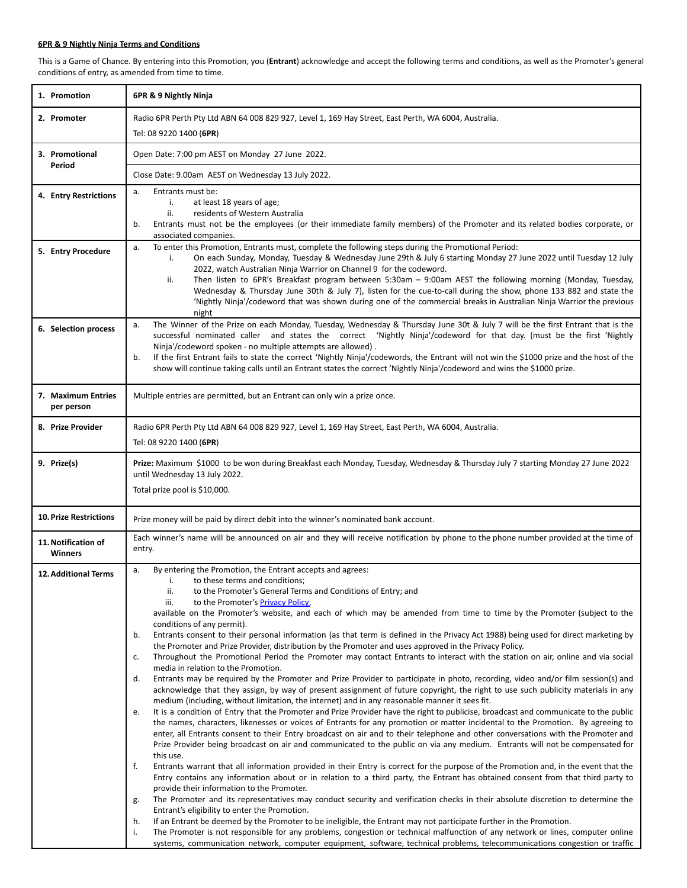## **6PR & 9 Nightly Ninja Terms and Conditions**

This is a Game of Chance. By entering into this Promotion, you (**Entrant**) acknowledge and accept the following terms and conditions, as well as the Promoter's general conditions of entry, as amended from time to time.

| 2. Promoter                                                                       |                                                                                                                                                                                                                                                                                                                                                                                                                                                                                                                                                                                                                                                                                                                                                                                                                                                                                                                                                                                                                                                                                                                                                                                                                                                                                                                                                                                                                                                                                                                                                                                                                                                                                                                                                                                                                                                                                                                                                                                                                                                                                                                                                                                                                                                                                                                                                                                                                                                                                                                               |  |
|-----------------------------------------------------------------------------------|-------------------------------------------------------------------------------------------------------------------------------------------------------------------------------------------------------------------------------------------------------------------------------------------------------------------------------------------------------------------------------------------------------------------------------------------------------------------------------------------------------------------------------------------------------------------------------------------------------------------------------------------------------------------------------------------------------------------------------------------------------------------------------------------------------------------------------------------------------------------------------------------------------------------------------------------------------------------------------------------------------------------------------------------------------------------------------------------------------------------------------------------------------------------------------------------------------------------------------------------------------------------------------------------------------------------------------------------------------------------------------------------------------------------------------------------------------------------------------------------------------------------------------------------------------------------------------------------------------------------------------------------------------------------------------------------------------------------------------------------------------------------------------------------------------------------------------------------------------------------------------------------------------------------------------------------------------------------------------------------------------------------------------------------------------------------------------------------------------------------------------------------------------------------------------------------------------------------------------------------------------------------------------------------------------------------------------------------------------------------------------------------------------------------------------------------------------------------------------------------------------------------------------|--|
|                                                                                   | Radio 6PR Perth Pty Ltd ABN 64 008 829 927, Level 1, 169 Hay Street, East Perth, WA 6004, Australia.                                                                                                                                                                                                                                                                                                                                                                                                                                                                                                                                                                                                                                                                                                                                                                                                                                                                                                                                                                                                                                                                                                                                                                                                                                                                                                                                                                                                                                                                                                                                                                                                                                                                                                                                                                                                                                                                                                                                                                                                                                                                                                                                                                                                                                                                                                                                                                                                                          |  |
|                                                                                   | Tel: 08 9220 1400 (6PR)                                                                                                                                                                                                                                                                                                                                                                                                                                                                                                                                                                                                                                                                                                                                                                                                                                                                                                                                                                                                                                                                                                                                                                                                                                                                                                                                                                                                                                                                                                                                                                                                                                                                                                                                                                                                                                                                                                                                                                                                                                                                                                                                                                                                                                                                                                                                                                                                                                                                                                       |  |
| 3. Promotional<br>Period                                                          | Open Date: 7:00 pm AEST on Monday 27 June 2022.                                                                                                                                                                                                                                                                                                                                                                                                                                                                                                                                                                                                                                                                                                                                                                                                                                                                                                                                                                                                                                                                                                                                                                                                                                                                                                                                                                                                                                                                                                                                                                                                                                                                                                                                                                                                                                                                                                                                                                                                                                                                                                                                                                                                                                                                                                                                                                                                                                                                               |  |
|                                                                                   | Close Date: 9.00am AEST on Wednesday 13 July 2022.                                                                                                                                                                                                                                                                                                                                                                                                                                                                                                                                                                                                                                                                                                                                                                                                                                                                                                                                                                                                                                                                                                                                                                                                                                                                                                                                                                                                                                                                                                                                                                                                                                                                                                                                                                                                                                                                                                                                                                                                                                                                                                                                                                                                                                                                                                                                                                                                                                                                            |  |
| a.<br>4. Entry Restrictions<br>b.                                                 | Entrants must be:<br>at least 18 years of age;<br>i.<br>residents of Western Australia<br>ii.<br>Entrants must not be the employees (or their immediate family members) of the Promoter and its related bodies corporate, or<br>associated companies.                                                                                                                                                                                                                                                                                                                                                                                                                                                                                                                                                                                                                                                                                                                                                                                                                                                                                                                                                                                                                                                                                                                                                                                                                                                                                                                                                                                                                                                                                                                                                                                                                                                                                                                                                                                                                                                                                                                                                                                                                                                                                                                                                                                                                                                                         |  |
| a.<br>5. Entry Procedure                                                          | To enter this Promotion, Entrants must, complete the following steps during the Promotional Period:<br>On each Sunday, Monday, Tuesday & Wednesday June 29th & July 6 starting Monday 27 June 2022 until Tuesday 12 July<br>i.<br>2022, watch Australian Ninja Warrior on Channel 9 for the codeword.<br>Then listen to 6PR's Breakfast program between 5:30am - 9:00am AEST the following morning (Monday, Tuesday,<br>ii.<br>Wednesday & Thursday June 30th & July 7), listen for the cue-to-call during the show, phone 133 882 and state the<br>'Nightly Ninja'/codeword that was shown during one of the commercial breaks in Australian Ninja Warrior the previous<br>night                                                                                                                                                                                                                                                                                                                                                                                                                                                                                                                                                                                                                                                                                                                                                                                                                                                                                                                                                                                                                                                                                                                                                                                                                                                                                                                                                                                                                                                                                                                                                                                                                                                                                                                                                                                                                                             |  |
| a.<br>6. Selection process<br>b.                                                  | The Winner of the Prize on each Monday, Tuesday, Wednesday & Thursday June 30t & July 7 will be the first Entrant that is the<br>successful nominated caller and states the correct 'Nightly Ninja'/codeword for that day. (must be the first 'Nightly<br>Ninja'/codeword spoken - no multiple attempts are allowed).<br>If the first Entrant fails to state the correct 'Nightly Ninja'/codewords, the Entrant will not win the \$1000 prize and the host of the<br>show will continue taking calls until an Entrant states the correct 'Nightly Ninja'/codeword and wins the \$1000 prize.                                                                                                                                                                                                                                                                                                                                                                                                                                                                                                                                                                                                                                                                                                                                                                                                                                                                                                                                                                                                                                                                                                                                                                                                                                                                                                                                                                                                                                                                                                                                                                                                                                                                                                                                                                                                                                                                                                                                  |  |
| 7. Maximum Entries<br>per person                                                  | Multiple entries are permitted, but an Entrant can only win a prize once.                                                                                                                                                                                                                                                                                                                                                                                                                                                                                                                                                                                                                                                                                                                                                                                                                                                                                                                                                                                                                                                                                                                                                                                                                                                                                                                                                                                                                                                                                                                                                                                                                                                                                                                                                                                                                                                                                                                                                                                                                                                                                                                                                                                                                                                                                                                                                                                                                                                     |  |
| 8. Prize Provider                                                                 | Radio 6PR Perth Pty Ltd ABN 64 008 829 927, Level 1, 169 Hay Street, East Perth, WA 6004, Australia.<br>Tel: 08 9220 1400 (6PR)                                                                                                                                                                                                                                                                                                                                                                                                                                                                                                                                                                                                                                                                                                                                                                                                                                                                                                                                                                                                                                                                                                                                                                                                                                                                                                                                                                                                                                                                                                                                                                                                                                                                                                                                                                                                                                                                                                                                                                                                                                                                                                                                                                                                                                                                                                                                                                                               |  |
| 9. Prize(s)                                                                       | Prize: Maximum \$1000 to be won during Breakfast each Monday, Tuesday, Wednesday & Thursday July 7 starting Monday 27 June 2022<br>until Wednesday 13 July 2022.<br>Total prize pool is \$10,000.                                                                                                                                                                                                                                                                                                                                                                                                                                                                                                                                                                                                                                                                                                                                                                                                                                                                                                                                                                                                                                                                                                                                                                                                                                                                                                                                                                                                                                                                                                                                                                                                                                                                                                                                                                                                                                                                                                                                                                                                                                                                                                                                                                                                                                                                                                                             |  |
| <b>10. Prize Restrictions</b>                                                     | Prize money will be paid by direct debit into the winner's nominated bank account.                                                                                                                                                                                                                                                                                                                                                                                                                                                                                                                                                                                                                                                                                                                                                                                                                                                                                                                                                                                                                                                                                                                                                                                                                                                                                                                                                                                                                                                                                                                                                                                                                                                                                                                                                                                                                                                                                                                                                                                                                                                                                                                                                                                                                                                                                                                                                                                                                                            |  |
| 11. Notification of<br><b>Winners</b>                                             | Each winner's name will be announced on air and they will receive notification by phone to the phone number provided at the time of<br>entry.                                                                                                                                                                                                                                                                                                                                                                                                                                                                                                                                                                                                                                                                                                                                                                                                                                                                                                                                                                                                                                                                                                                                                                                                                                                                                                                                                                                                                                                                                                                                                                                                                                                                                                                                                                                                                                                                                                                                                                                                                                                                                                                                                                                                                                                                                                                                                                                 |  |
| a.<br><b>12. Additional Terms</b><br>b.<br>c.<br>d.<br>е.<br>f.<br>g.<br>h.<br>i. | By entering the Promotion, the Entrant accepts and agrees:<br>to these terms and conditions;<br>i.<br>ii.<br>to the Promoter's General Terms and Conditions of Entry; and<br>to the Promoter's <b>Privacy Policy</b> ,<br>iii.<br>available on the Promoter's website, and each of which may be amended from time to time by the Promoter (subject to the<br>conditions of any permit).<br>Entrants consent to their personal information (as that term is defined in the Privacy Act 1988) being used for direct marketing by<br>the Promoter and Prize Provider, distribution by the Promoter and uses approved in the Privacy Policy.<br>Throughout the Promotional Period the Promoter may contact Entrants to interact with the station on air, online and via social<br>media in relation to the Promotion.<br>Entrants may be required by the Promoter and Prize Provider to participate in photo, recording, video and/or film session(s) and<br>acknowledge that they assign, by way of present assignment of future copyright, the right to use such publicity materials in any<br>medium (including, without limitation, the internet) and in any reasonable manner it sees fit.<br>It is a condition of Entry that the Promoter and Prize Provider have the right to publicise, broadcast and communicate to the public<br>the names, characters, likenesses or voices of Entrants for any promotion or matter incidental to the Promotion. By agreeing to<br>enter, all Entrants consent to their Entry broadcast on air and to their telephone and other conversations with the Promoter and<br>Prize Provider being broadcast on air and communicated to the public on via any medium. Entrants will not be compensated for<br>this use.<br>Entrants warrant that all information provided in their Entry is correct for the purpose of the Promotion and, in the event that the<br>Entry contains any information about or in relation to a third party, the Entrant has obtained consent from that third party to<br>provide their information to the Promoter.<br>The Promoter and its representatives may conduct security and verification checks in their absolute discretion to determine the<br>Entrant's eligibility to enter the Promotion.<br>If an Entrant be deemed by the Promoter to be ineligible, the Entrant may not participate further in the Promotion.<br>The Promoter is not responsible for any problems, congestion or technical malfunction of any network or lines, computer online |  |